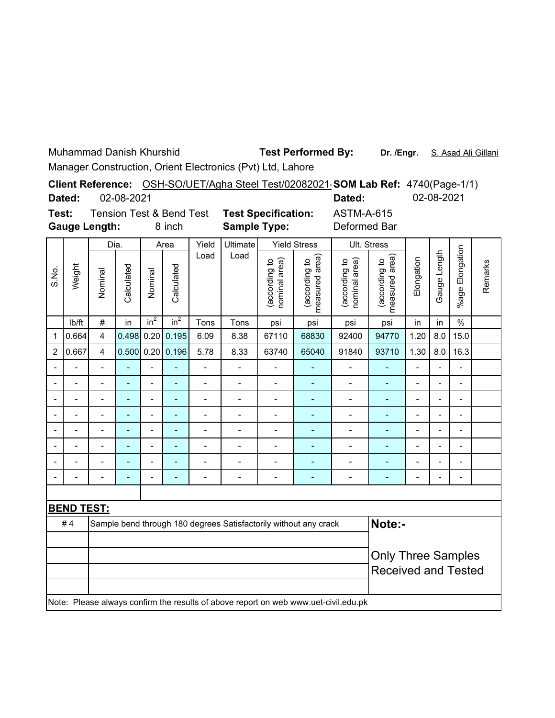Muhammad Danish Khurshid

Test Performed By: Dr. /Engr. S. Asad Ali Gillani

Manager Construction, Orient Electronics (Pvt) Ltd, Lahore

|                      |            |                                     | Client Reference: OSH-SO/UET/Agha Steel Test/02082021 <b>SOM Lab Ref:</b> 4740(Page-1/1) |              |            |
|----------------------|------------|-------------------------------------|------------------------------------------------------------------------------------------|--------------|------------|
| Dated:               | 02-08-2021 |                                     |                                                                                          | Dated:       | 02-08-2021 |
| Test:                |            | <b>Tension Test &amp; Bend Test</b> | <b>Test Specification:</b>                                                               | ASTM-A-615   |            |
| <b>Gauge Length:</b> |            | 8 inch                              | <b>Sample Type:</b>                                                                      | Deformed Bar |            |

| <b>Gauge Length:</b><br>8 inch |                   |                            |                          |                 |                 | <b>Sample Type:</b>      |                          |                                | Deformed Bar                                                                        |                                |                                 |                           |                |                          |         |
|--------------------------------|-------------------|----------------------------|--------------------------|-----------------|-----------------|--------------------------|--------------------------|--------------------------------|-------------------------------------------------------------------------------------|--------------------------------|---------------------------------|---------------------------|----------------|--------------------------|---------|
|                                |                   | Dia.                       |                          |                 | Area            | Yield                    | Ultimate                 |                                | <b>Yield Stress</b>                                                                 |                                | Ult. Stress                     |                           |                |                          |         |
| S.No.                          | Weight            | Nominal                    | Calculated               | Nominal         | Calculated      | Load                     | Load                     | nominal area)<br>(according to | measured area)<br>(according to                                                     | (according to<br>nominal area) | measured area)<br>(according to | Elongation                | Gauge Length   | %age Elongation          | Remarks |
|                                | Ib/ft             | $\#$                       | in                       | in <sup>2</sup> | in <sup>2</sup> | Tons                     | Tons                     | psi                            | psi                                                                                 | psi                            | psi                             | in                        | in             | $\frac{0}{0}$            |         |
| $\mathbf 1$                    | 0.664             | $\overline{4}$             | 0.498                    | 0.20            | 0.195           | 6.09                     | 8.38                     | 67110                          | 68830                                                                               | 92400                          | 94770                           | 1.20                      | 8.0            | 15.0                     |         |
| $\overline{2}$                 | 0.667             | $\overline{\mathbf{4}}$    | 0.500                    | 0.20            | 0.196           | 5.78                     | 8.33                     | 63740                          | 65040                                                                               | 91840                          | 93710                           | 1.30                      | 8.0            | 16.3                     |         |
| $\overline{a}$                 |                   | $\overline{a}$             | ÷,                       | $\overline{a}$  | ÷,              | $\overline{\phantom{0}}$ | $\overline{a}$           | $\overline{a}$                 | Ξ                                                                                   | $\overline{a}$                 | ÷,                              | $\overline{a}$            | $\overline{a}$ | $\frac{1}{2}$            |         |
| $\blacksquare$                 |                   | $\overline{a}$             | $\blacksquare$           | $\overline{a}$  | $\blacksquare$  | $\overline{\phantom{0}}$ | $\overline{a}$           | $\overline{a}$                 | $\blacksquare$                                                                      | $\overline{a}$                 | ÷,                              | $\overline{a}$            | L,             | L,                       |         |
| $\blacksquare$                 |                   | Ĭ.                         | $\blacksquare$           | $\overline{a}$  | ٠               | $\overline{a}$           | $\overline{a}$           | $\overline{a}$                 | ÷,                                                                                  | $\overline{a}$                 | ÷,                              | $\overline{a}$            | L,             | $\overline{a}$           |         |
| $\blacksquare$                 |                   | $\blacksquare$             | ÷                        | $\overline{a}$  | ÷               | $\overline{a}$           | $\overline{a}$           | Ĭ.                             | ÷,                                                                                  | $\overline{a}$                 | ÷,                              | $\overline{\phantom{0}}$  | Ĭ.             | Ĭ.                       |         |
| $\blacksquare$                 |                   | $\blacksquare$             | $\blacksquare$           | $\overline{a}$  | ٠               | $\overline{a}$           | $\overline{a}$           | Ĭ.                             | ÷                                                                                   | $\overline{a}$                 | ÷,                              | $\overline{a}$            | $\overline{a}$ | Ĭ.                       |         |
| $\overline{\phantom{a}}$       |                   | $\blacksquare$             | ÷                        | $\overline{a}$  | ۰               | $\blacksquare$           | $\overline{a}$           | Ĭ.                             | ÷,                                                                                  | $\overline{\phantom{0}}$       | ÷,                              | $\overline{\phantom{0}}$  | Ĭ.             | Ĭ.                       |         |
| -                              |                   |                            | ÷                        | -               | ÷               | $\blacksquare$           |                          | ÷                              | ۰                                                                                   | $\overline{a}$                 | -                               | -                         | ٠              | ÷                        |         |
| $\blacksquare$                 |                   | $\blacksquare$             | $\overline{\phantom{a}}$ | $\overline{a}$  | ÷               | $\blacksquare$           | $\overline{\phantom{0}}$ | ÷                              | ÷,                                                                                  | $\overline{\phantom{0}}$       | ٠                               | $\overline{\phantom{0}}$  |                | $\overline{\phantom{0}}$ |         |
|                                |                   |                            |                          |                 |                 |                          |                          |                                |                                                                                     |                                |                                 |                           |                |                          |         |
|                                | <b>BEND TEST:</b> |                            |                          |                 |                 |                          |                          |                                |                                                                                     |                                |                                 |                           |                |                          |         |
|                                | #4                |                            |                          |                 |                 |                          |                          |                                | Sample bend through 180 degrees Satisfactorily without any crack                    |                                | Note:-                          |                           |                |                          |         |
|                                |                   |                            |                          |                 |                 |                          |                          |                                |                                                                                     |                                |                                 |                           |                |                          |         |
|                                |                   |                            |                          |                 |                 |                          |                          |                                |                                                                                     |                                |                                 | <b>Only Three Samples</b> |                |                          |         |
|                                |                   | <b>Received and Tested</b> |                          |                 |                 |                          |                          |                                |                                                                                     |                                |                                 |                           |                |                          |         |
|                                |                   |                            |                          |                 |                 |                          |                          |                                | Note: Please always confirm the results of above report on web www.uet-civil.edu.pk |                                |                                 |                           |                |                          |         |
|                                |                   |                            |                          |                 |                 |                          |                          |                                |                                                                                     |                                |                                 |                           |                |                          |         |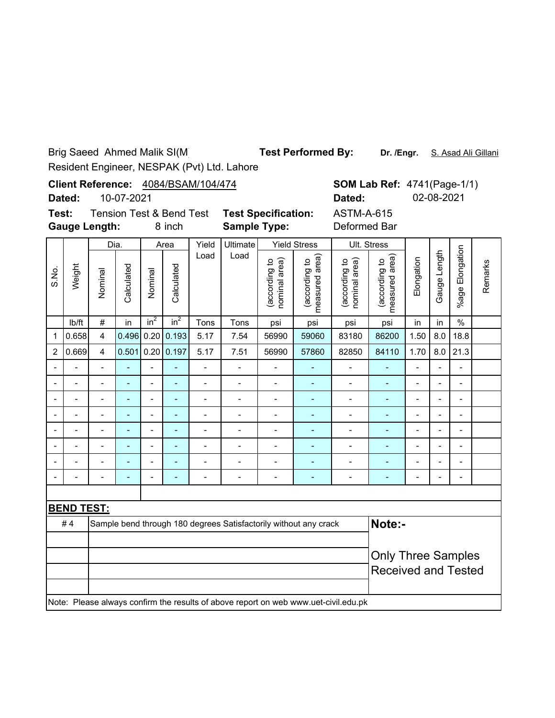Brig Saeed Ahmed Malik SI(M)

**Test Performed By:**

**Dr. /Engr.** S. Asad Ali Gillani

Resident Engineer, NESPAK (Pvt) Ltd. Lahore

|       | Client Reference: 4084/BSAM/104/474<br><b>SOM Lab R</b><br>10-07-2021<br>Dated:<br>Dated: |                                                             |            |               |            |      |                                                   |                                         |                                    |                                |                 |  |
|-------|-------------------------------------------------------------------------------------------|-------------------------------------------------------------|------------|---------------|------------|------|---------------------------------------------------|-----------------------------------------|------------------------------------|--------------------------------|-----------------|--|
|       | Test:                                                                                     | <b>Tension Test &amp; Bend Test</b><br><b>Gauge Length:</b> |            |               | 8 inch     |      | <b>Test Specification:</b><br><b>Sample Type:</b> |                                         |                                    | ASTM-A-61<br>Deformed B        |                 |  |
|       |                                                                                           | Dia.                                                        |            | Yield<br>Area |            |      | Ultimate                                          |                                         | <b>Yield Stress</b>                | Ult. Stress                    |                 |  |
| S.No. | Weight                                                                                    | Nominal                                                     | Calculated | Nominal       | Calculated | Load | Load                                              | area)<br>요<br>(according<br>nominal are | area)<br>(according to<br>measured | (according to<br>nominal area) | 유<br>(according |  |
|       | Ih/ft                                                                                     | #                                                           | in.        | $in^2$        | $in^2$     | Tons | Tons                                              | nsi                                     | nsi                                | nsi                            | ns              |  |

**SOM Lab Ref: 4741(Page-1/1) Dated:** 02-08-2021 M-A-615

rmed Bar

|                |                   | υıα.                      |                          |                | <u>riva</u> | 1 1 V 1 V                  | onnnaw                   | 11019 OU 033                   |                                                                                     |                                | ບແ. ບແບວວ                       |                              |                          |                          |         |
|----------------|-------------------|---------------------------|--------------------------|----------------|-------------|----------------------------|--------------------------|--------------------------------|-------------------------------------------------------------------------------------|--------------------------------|---------------------------------|------------------------------|--------------------------|--------------------------|---------|
| S.No.          | Weight            | Nominal                   | Calculated               | Nominal        | Calculated  | Load                       | Load                     | nominal area)<br>(according to | measured area)<br>(according to                                                     | nominal area)<br>(according to | measured area)<br>(according to | Elongation                   | Gauge Length             | %age Elongation          | Remarks |
|                | Ib/ft             | $\#$                      | in                       | $in^2$         | $in^2$      | Tons                       | Tons                     | psi                            | psi                                                                                 | psi                            | psi                             | in                           | in                       | $\%$                     |         |
| $\mathbf 1$    | 0.658             | $\overline{\mathbf{4}}$   | 0.496                    | 0.20           | 0.193       | 5.17                       | 7.54                     | 56990                          | 59060                                                                               | 83180                          | 86200                           | 1.50                         | 8.0                      | 18.8                     |         |
| $\overline{2}$ | 0.669             | 4                         | 0.501                    | 0.20           | 0.197       | 5.17                       | 7.51                     | 56990                          | 57860                                                                               | 82850                          | 84110                           | 1.70                         | 8.0                      | 21.3                     |         |
|                |                   |                           | $\overline{\phantom{0}}$ | $\overline{a}$ | ۰           | $\overline{a}$             | $\overline{\phantom{a}}$ | $\overline{\phantom{0}}$       | ÷                                                                                   | $\qquad \qquad \blacksquare$   | $\overline{\phantom{a}}$        | $\qquad \qquad \blacksquare$ | $\overline{\phantom{0}}$ | $\overline{\phantom{a}}$ |         |
|                |                   |                           | $\overline{a}$           | $\overline{a}$ | ÷           | $\overline{a}$             | $\blacksquare$           | $\overline{\phantom{0}}$       | ÷                                                                                   | $\blacksquare$                 | $\overline{\phantom{a}}$        | $\overline{a}$               | $\overline{\phantom{0}}$ | $\blacksquare$           |         |
|                |                   | $\blacksquare$            | ۰                        | $\blacksquare$ | ۰           | -                          | $\overline{\phantom{a}}$ | $\overline{\phantom{0}}$       | ÷                                                                                   | $\overline{a}$                 | ÷                               | $\overline{a}$               | $\overline{\phantom{0}}$ | $\blacksquare$           |         |
|                |                   |                           | ÷                        | $\overline{a}$ | L.          | $\overline{a}$             | $\overline{\phantom{a}}$ | $\blacksquare$                 | ÷                                                                                   | $\blacksquare$                 | ٠                               | $\blacksquare$               | $\overline{\phantom{a}}$ | $\overline{\phantom{a}}$ |         |
|                |                   |                           | ÷                        | $\blacksquare$ | ÷           | $\overline{a}$             | $\overline{a}$           | $\overline{\phantom{0}}$       | L,                                                                                  | $\overline{a}$                 | ÷,                              | $\blacksquare$               | $\overline{a}$           | Ĭ.                       |         |
|                |                   |                           |                          |                |             |                            |                          |                                |                                                                                     |                                | ÷                               |                              | $\blacksquare$           |                          |         |
|                |                   |                           |                          |                |             |                            |                          |                                |                                                                                     | $\overline{a}$                 |                                 |                              | $\blacksquare$           |                          |         |
|                | ۰                 | $\blacksquare$            | $\overline{a}$           | $\blacksquare$ | ۳           | $\overline{a}$             | $\blacksquare$           | $\blacksquare$                 | ÷                                                                                   | $\blacksquare$                 | ٠                               | $\overline{\phantom{a}}$     | $\blacksquare$           | $\overline{a}$           |         |
|                |                   |                           |                          |                |             |                            |                          |                                |                                                                                     |                                |                                 |                              |                          |                          |         |
|                | <b>BEND TEST:</b> |                           |                          |                |             |                            |                          |                                |                                                                                     |                                |                                 |                              |                          |                          |         |
|                | #4                |                           |                          |                |             |                            |                          |                                | Sample bend through 180 degrees Satisfactorily without any crack                    |                                | Note:-                          |                              |                          |                          |         |
|                |                   |                           |                          |                |             |                            |                          |                                |                                                                                     |                                |                                 |                              |                          |                          |         |
|                |                   | <b>Only Three Samples</b> |                          |                |             |                            |                          |                                |                                                                                     |                                |                                 |                              |                          |                          |         |
|                |                   |                           |                          |                |             | <b>Received and Tested</b> |                          |                                |                                                                                     |                                |                                 |                              |                          |                          |         |
|                |                   |                           |                          |                |             |                            |                          |                                |                                                                                     |                                |                                 |                              |                          |                          |         |
|                |                   |                           |                          |                |             |                            |                          |                                | Note: Please always confirm the results of above report on web www.uet-civil.edu.pk |                                |                                 |                              |                          |                          |         |
|                |                   |                           |                          |                |             |                            |                          |                                |                                                                                     |                                |                                 |                              |                          |                          |         |